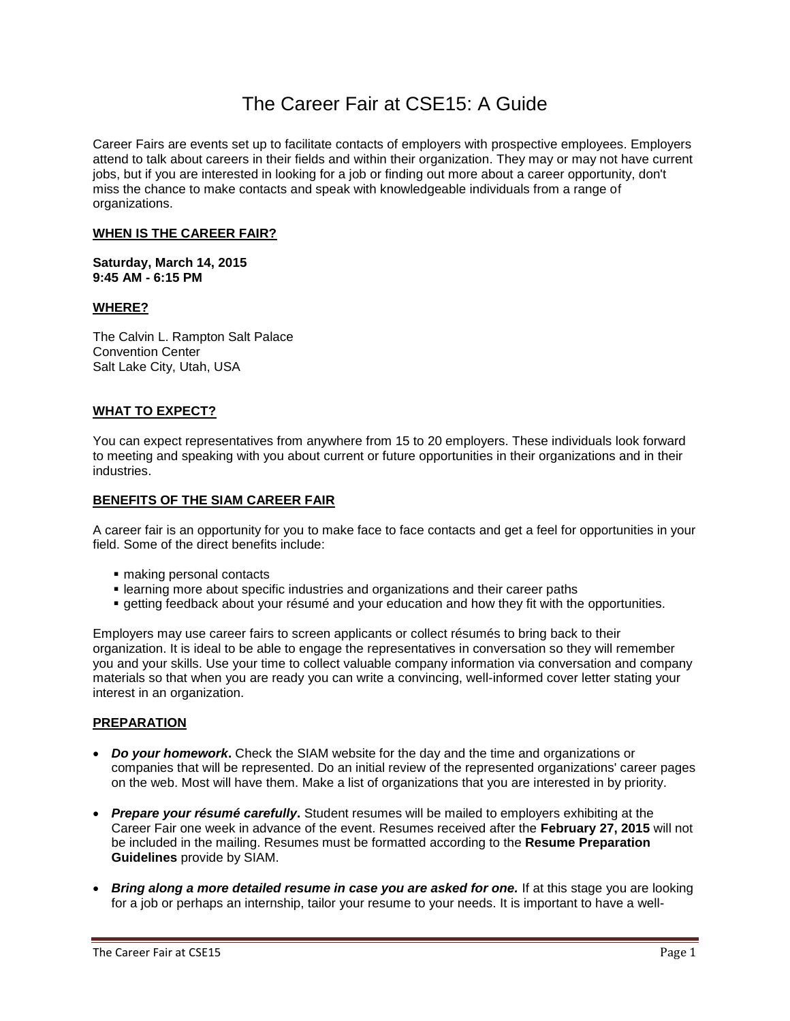# The Career Fair at CSE15: A Guide

Career Fairs are events set up to facilitate contacts of employers with prospective employees. Employers attend to talk about careers in their fields and within their organization. They may or may not have current jobs, but if you are interested in looking for a job or finding out more about a career opportunity, don't miss the chance to make contacts and speak with knowledgeable individuals from a range of organizations.

### **WHEN IS THE CAREER FAIR?**

**Saturday, March 14, 2015 9:45 AM - 6:15 PM** 

## **WHERE?**

The Calvin L. Rampton Salt Palace Convention Center Salt Lake City, Utah, USA

#### **WHAT TO EXPECT?**

You can expect representatives from anywhere from 15 to 20 employers. These individuals look forward to meeting and speaking with you about current or future opportunities in their organizations and in their industries.

#### **BENEFITS OF THE SIAM CAREER FAIR**

A career fair is an opportunity for you to make face to face contacts and get a feel for opportunities in your field. Some of the direct benefits include:

- making personal contacts
- learning more about specific industries and organizations and their career paths
- getting feedback about your résumé and your education and how they fit with the opportunities.

Employers may use career fairs to screen applicants or collect résumés to bring back to their organization. It is ideal to be able to engage the representatives in conversation so they will remember you and your skills. Use your time to collect valuable company information via conversation and company materials so that when you are ready you can write a convincing, well-informed cover letter stating your interest in an organization.

## **PREPARATION**

- *Do your homework***.** Check the SIAM website for the day and the time and organizations or companies that will be represented. Do an initial review of the represented organizations' career pages on the web. Most will have them. Make a list of organizations that you are interested in by priority.
- *Prepare your résumé carefully***.** Student resumes will be mailed to employers exhibiting at the Career Fair one week in advance of the event. Resumes received after the **February 27, 2015** will not be included in the mailing. Resumes must be formatted according to the **Resume Preparation Guidelines** provide by SIAM.
- *Bring along a more detailed resume in case you are asked for one.* If at this stage you are looking for a job or perhaps an internship, tailor your resume to your needs. It is important to have a well-